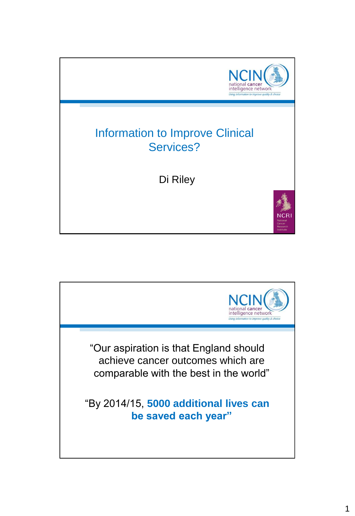

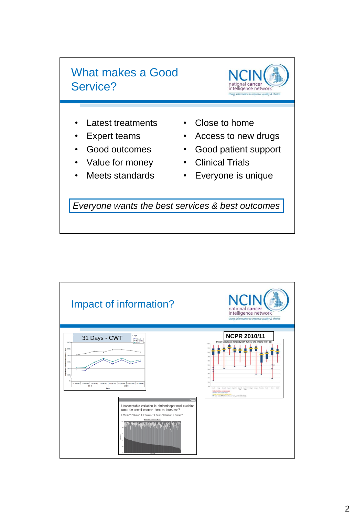



- Latest treatments
- Expert teams
- Good outcomes
- Value for money
- Meets standards
- Close to home
- Access to new drugs
- Good patient support
- Clinical Trials
- Everyone is unique

*Everyone wants the best services & best outcomes*

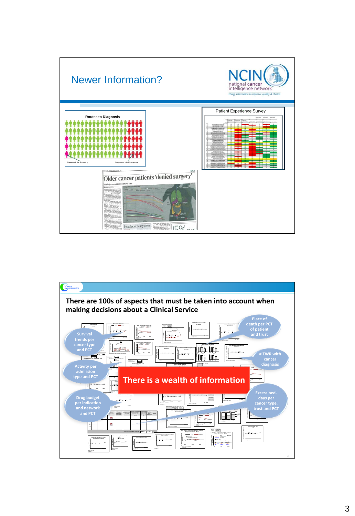

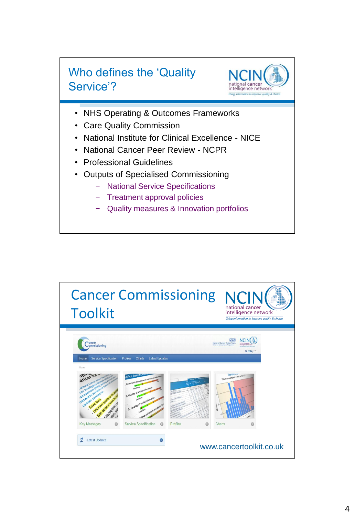



- NHS Operating & Outcomes Frameworks
- **Care Quality Commission**
- National Institute for Clinical Excellence NICE
- National Cancer Peer Review NCPR
- Professional Guidelines
- Outputs of Specialised Commissioning
	- − National Service Specifications
	- − Treatment approval policies
	- Quality measures & Innovation portfolios

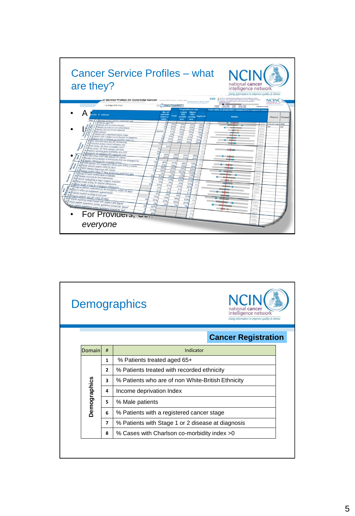

| NC<br><b>Demographics</b><br>national cancer<br>intelligence network<br>Using information to improve quality & choice |   |                                                   |  |
|-----------------------------------------------------------------------------------------------------------------------|---|---------------------------------------------------|--|
| <b>Cancer Registration</b>                                                                                            |   |                                                   |  |
| Domain                                                                                                                | # | Indicator                                         |  |
|                                                                                                                       | 1 | % Patients treated aged 65+                       |  |
|                                                                                                                       | 2 | % Patients treated with recorded ethnicity        |  |
|                                                                                                                       | 3 | % Patients who are of non White-British Ethnicity |  |
|                                                                                                                       | 4 | Income deprivation Index                          |  |
| <b>Demographics</b>                                                                                                   | 5 | % Male patients                                   |  |
|                                                                                                                       | 6 | % Patients with a registered cancer stage         |  |
|                                                                                                                       | 7 | % Patients with Stage 1 or 2 disease at diagnosis |  |
|                                                                                                                       | 8 | % Cases with Charlson co-morbidity index >0       |  |
|                                                                                                                       |   |                                                   |  |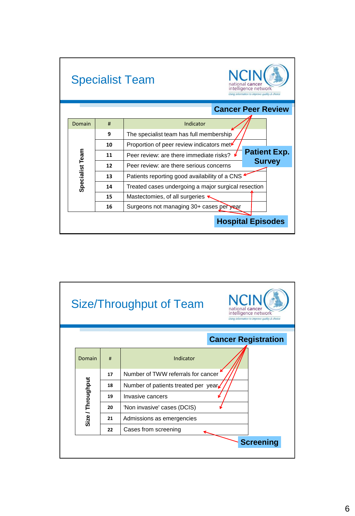|                           |    | <b>Specialist Team</b><br>intelligence network<br>Using information to improve quality & choice |  |  |
|---------------------------|----|-------------------------------------------------------------------------------------------------|--|--|
| <b>Cancer Peer Review</b> |    |                                                                                                 |  |  |
| Domain                    | #  | Indicator                                                                                       |  |  |
|                           | 9  | The specialist team has full membership                                                         |  |  |
|                           | 10 | Proportion of peer review indicators met                                                        |  |  |
|                           | 11 | <b>Patient Exp.</b><br>Peer review: are there immediate risks?                                  |  |  |
|                           | 12 | <b>Survey</b><br>Peer review: are there serious concerns                                        |  |  |
| Specialist Team           | 13 | Patients reporting good availability of a CNS                                                   |  |  |
|                           | 14 | Treated cases undergoing a major surgical resection                                             |  |  |
|                           | 15 | Mastectomies, of all surgeries '                                                                |  |  |
|                           | 16 | Surgeons not managing 30+ cases per year                                                        |  |  |
| <b>Hospital Episodes</b>  |    |                                                                                                 |  |  |

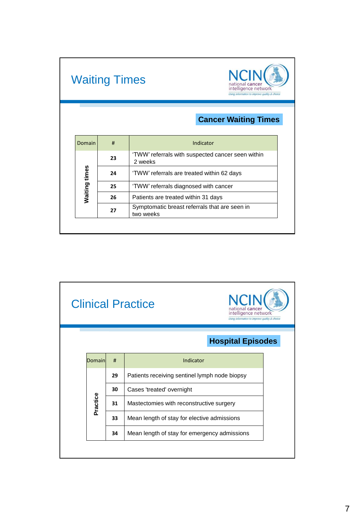|               | <b>Waiting Times</b> | national cancer<br>intelligence network<br>Using information to improve quality & choice |  |
|---------------|----------------------|------------------------------------------------------------------------------------------|--|
|               |                      | <b>Cancer Waiting Times</b>                                                              |  |
| Domain        | #                    | Indicator                                                                                |  |
|               | 23                   | 'TWW' referrals with suspected cancer seen within<br>2 weeks                             |  |
| Waiting times | 24                   | 'TWW' referrals are treated within 62 days                                               |  |
|               | 25                   | 'TWW' referrals diagnosed with cancer<br>Patients are treated within 31 days             |  |
|               | 26                   |                                                                                          |  |
|               |                      | Symptomatic breast referrals that are seen in<br>two weeks                               |  |

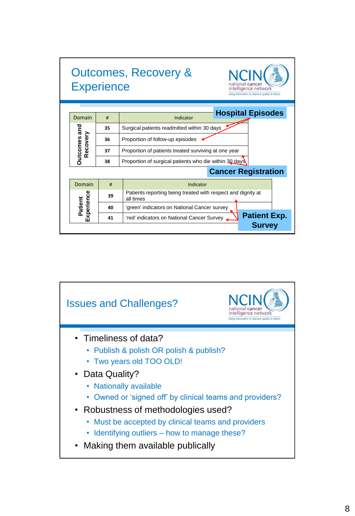| <b>Experience</b>               | <b>Outcomes, Recovery &amp;</b><br>national canc<br>intelligence network<br>Using information to improve quality & choice |                                                                           |  |  |  |  |
|---------------------------------|---------------------------------------------------------------------------------------------------------------------------|---------------------------------------------------------------------------|--|--|--|--|
|                                 | <b>Hospital Episodes</b>                                                                                                  |                                                                           |  |  |  |  |
| Domain                          | #                                                                                                                         | Indicator                                                                 |  |  |  |  |
|                                 | 35                                                                                                                        | Surgical patients readmitted within 30 days                               |  |  |  |  |
| <b>Dutcomes and</b><br>Recovery | 36                                                                                                                        | Proportion of follow-up episodes                                          |  |  |  |  |
|                                 | 37                                                                                                                        | Proportion of patients treated surviving at one year                      |  |  |  |  |
|                                 | 38                                                                                                                        | Proportion of surgical patients who die within 30 days                    |  |  |  |  |
|                                 | <b>Cancer Registration</b>                                                                                                |                                                                           |  |  |  |  |
| Domain                          | #                                                                                                                         | Indicator                                                                 |  |  |  |  |
| Experience                      | 39                                                                                                                        | Patients reporting being treated with respect and dignity at<br>all times |  |  |  |  |
| Patient                         | 40                                                                                                                        | 'green' indicators on National Cancer survey                              |  |  |  |  |
|                                 | 41                                                                                                                        | <b>Patient Exp.</b><br>'red' indicators on National Cancer Survey         |  |  |  |  |
|                                 |                                                                                                                           | <b>Survey</b>                                                             |  |  |  |  |